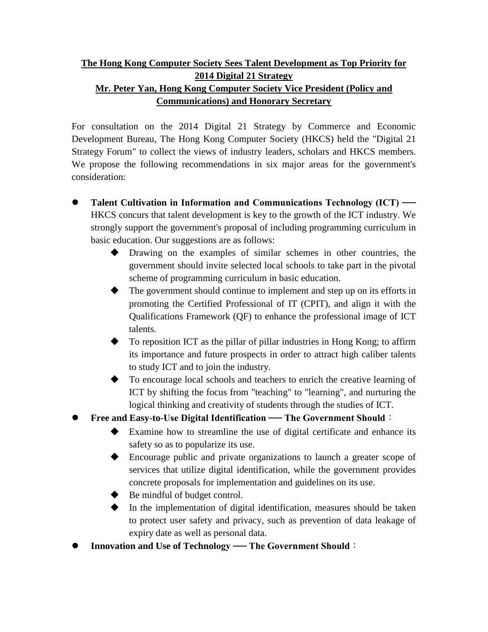## **The Hong Kong Computer Society Sees Talent Development as Top Priority for 2014 Digital 21 Strategy Mr. Peter Yan, Hong Kong Computer Society Vice President (Policy and Communications) and Honorary Secretary**

For consultation on the 2014 Digital 21 Strategy by Commerce and Economic Development Bureau, The Hong Kong Computer Society (HKCS) held the "Digital 21 Strategy Forum" to collect the views of industry leaders, scholars and HKCS members. We propose the following recommendations in six major areas for the government's consideration:

- **Talent Cultivation in Information and Communications Technology (ICT) ──**  HKCS concurs that talent development is key to the growth of the ICT industry. We strongly support the government's proposal of including programming curriculum in basic education. Our suggestions are as follows:
	- Drawing on the examples of similar schemes in other countries, the government should invite selected local schools to take part in the pivotal scheme of programming curriculum in basic education.
	- $\blacklozenge$  The government should continue to implement and step up on its efforts in promoting the Certified Professional of IT (CPIT), and align it with the Qualifications Framework (QF) to enhance the professional image of ICT talents.
	- To reposition ICT as the pillar of pillar industries in Hong Kong; to affirm its importance and future prospects in order to attract high caliber talents to study ICT and to join the industry.
	- To encourage local schools and teachers to enrich the creative learning of ICT by shifting the focus from "teaching" to "learning", and nurturing the logical thinking and creativity of students through the studies of ICT.
- **Free and Easy-to-Use Digital Identification ── The Government Should**:
	- Examine how to streamline the use of digital certificate and enhance its safety so as to popularize its use.
	- Encourage public and private organizations to launch a greater scope of services that utilize digital identification, while the government provides concrete proposals for implementation and guidelines on its use.
	- $\blacklozenge$  Be mindful of budget control.
	- $\blacklozenge$  In the implementation of digital identification, measures should be taken to protect user safety and privacy, such as prevention of data leakage of expiry date as well as personal data.
- **Innovation and Use of Technology ── The Government Should**: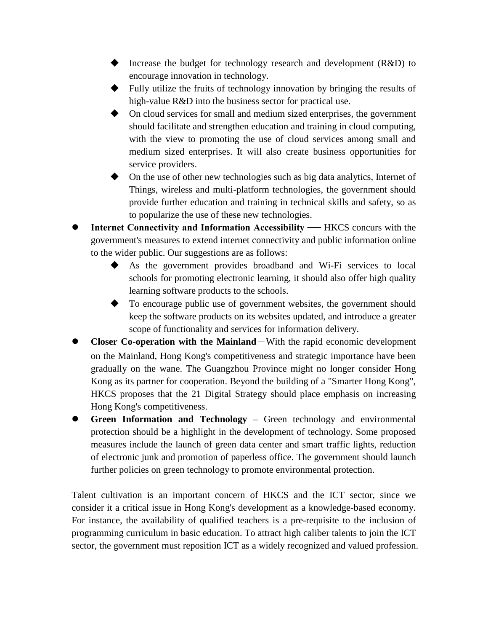- ◆ Increase the budget for technology research and development (R&D) to encourage innovation in technology.
- Fully utilize the fruits of technology innovation by bringing the results of high-value R&D into the business sector for practical use.
- On cloud services for small and medium sized enterprises, the government should facilitate and strengthen education and training in cloud computing, with the view to promoting the use of cloud services among small and medium sized enterprises. It will also create business opportunities for service providers.
- On the use of other new technologies such as big data analytics, Internet of Things, wireless and multi-platform technologies, the government should provide further education and training in technical skills and safety, so as to popularize the use of these new technologies.
- **Internet Connectivity and Information Accessibility HKCS concurs with the** government's measures to extend internet connectivity and public information online to the wider public. Our suggestions are as follows:
	- As the government provides broadband and Wi-Fi services to local schools for promoting electronic learning, it should also offer high quality learning software products to the schools.
	- To encourage public use of government websites, the government should keep the software products on its websites updated, and introduce a greater scope of functionality and services for information delivery.
- **Closer Co-operation with the Mainland**-With the rapid economic development on the Mainland, Hong Kong's competitiveness and strategic importance have been gradually on the wane. The Guangzhou Province might no longer consider Hong Kong as its partner for cooperation. Beyond the building of a "Smarter Hong Kong", HKCS proposes that the 21 Digital Strategy should place emphasis on increasing Hong Kong's competitiveness.
- **Green Information and Technology**  Green technology and environmental protection should be a highlight in the development of technology. Some proposed measures include the launch of green data center and smart traffic lights, reduction of electronic junk and promotion of paperless office. The government should launch further policies on green technology to promote environmental protection.

Talent cultivation is an important concern of HKCS and the ICT sector, since we consider it a critical issue in Hong Kong's development as a knowledge-based economy. For instance, the availability of qualified teachers is a pre-requisite to the inclusion of programming curriculum in basic education. To attract high caliber talents to join the ICT sector, the government must reposition ICT as a widely recognized and valued profession.